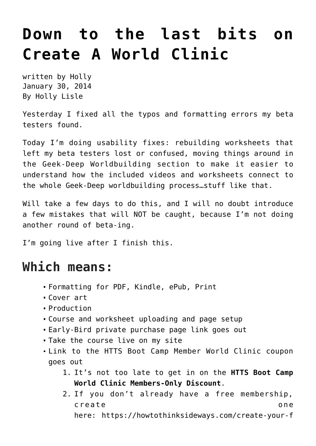## **[Down to the last bits on](https://hollylisle.com/down-to-the-last-bits-on-create-a-world-clinic/) [Create A World Clinic](https://hollylisle.com/down-to-the-last-bits-on-create-a-world-clinic/)**

written by Holly January 30, 2014 [By Holly Lisle](https://hollylisle.com)

Yesterday I fixed all the typos and formatting errors my beta testers found.

Today I'm doing usability fixes: rebuilding worksheets that left my beta testers lost or confused, moving things around in the Geek-Deep Worldbuilding section to make it easier to understand how the included videos and worksheets connect to the whole Geek-Deep worldbuilding process…stuff like that.

Will take a few days to do this, and I will no doubt introduce a few mistakes that will NOT be caught, because I'm not doing another round of beta-ing.

I'm going live after I finish this.

## **Which means:**

- Formatting for PDF, Kindle, ePub, Print
- Cover art
- Production
- Course and worksheet uploading and page setup
- Early-Bird private purchase page link goes out
- Take the course live on my site
- Link to the HTTS Boot Camp Member World Clinic coupon goes out
	- 1. It's not too late to get in on the **HTTS Boot Camp World Clinic Members-Only Discount**.
	- 2. If you don't already have a free membership, create one here: [https://howtothinksideways.com/create-your-f](https://howtothinksideways.com/create-your-free-general-membership-account/)